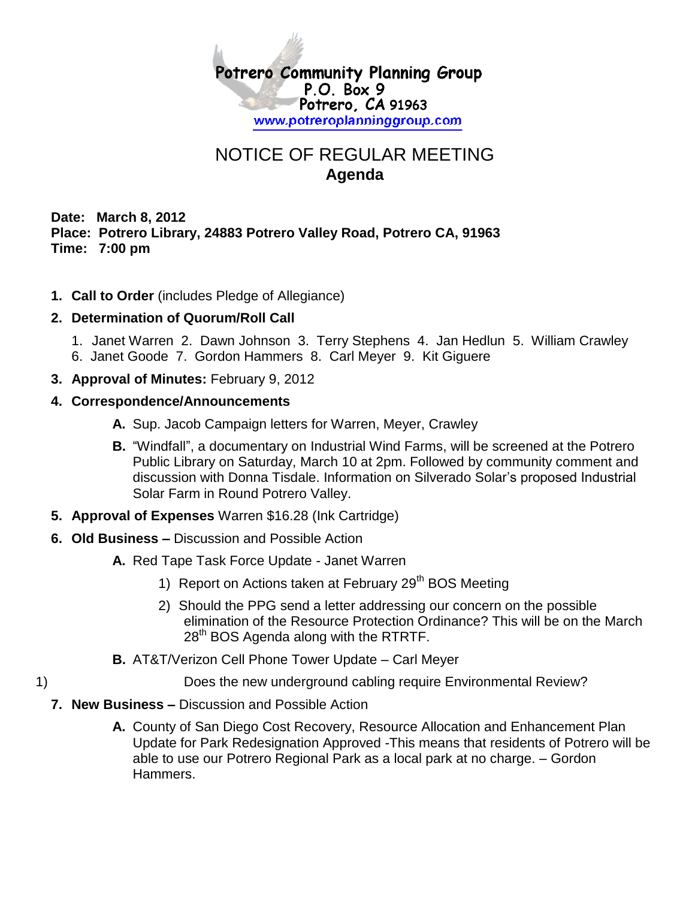

## NOTICE OF REGULAR MEETING **Agenda**

**Date: March 8, 2012 Place: Potrero Library, 24883 Potrero Valley Road, Potrero CA, 91963 Time: 7:00 pm**

**1. Call to Order** (includes Pledge of Allegiance)

## **2. Determination of Quorum/Roll Call**

- 1. Janet Warren 2. Dawn Johnson 3. Terry Stephens 4. Jan Hedlun 5. William Crawley 6. Janet Goode 7. Gordon Hammers 8. Carl Meyer 9. Kit Giguere
- **3. Approval of Minutes:** February 9, 2012

## **4. Correspondence/Announcements**

- **A.** Sup. Jacob Campaign letters for Warren, Meyer, Crawley
- **B.** "Windfall", a documentary on Industrial Wind Farms, will be screened at the Potrero Public Library on Saturday, March 10 at 2pm. Followed by community comment and discussion with Donna Tisdale. Information on Silverado Solar's proposed Industrial Solar Farm in Round Potrero Valley.
- **5. Approval of Expenses** Warren \$16.28 (Ink Cartridge)
- **6. Old Business –** Discussion and Possible Action
	- **A.** Red Tape Task Force Update Janet Warren
		- 1) Report on Actions taken at February 29<sup>th</sup> BOS Meeting
		- 2) Should the PPG send a letter addressing our concern on the possible elimination of the Resource Protection Ordinance? This will be on the March 28<sup>th</sup> BOS Agenda along with the RTRTF.
	- **B.** AT&T/Verizon Cell Phone Tower Update Carl Meyer
- 1) Does the new underground cabling require Environmental Review?
	- **7. New Business –** Discussion and Possible Action
		- **A.** County of San Diego Cost Recovery, Resource Allocation and Enhancement Plan Update for Park Redesignation Approved -This means that residents of Potrero will be able to use our Potrero Regional Park as a local park at no charge. – Gordon Hammers.